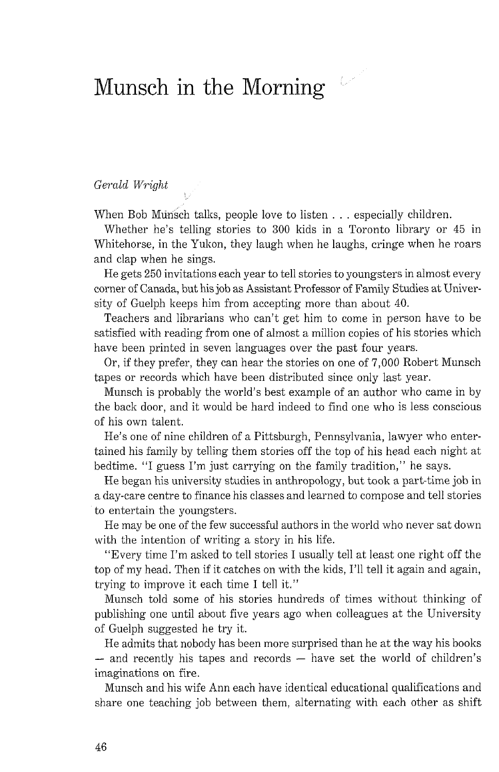## Munsch in the Morning

Gerald Wright

When Bob Munsch talks, people love to listen . . . especially children.

Whether he's telling stories to 300 kids in a Toronto library or 45 in Whitehorse, in the Yukon, they laugh when he laughs, cringe when he roars and clap when he sings.

 $\mathscr{L}^2$ 

He gets 250 invitations each year to tell stories to youngsters in almost every corner of Canada, but his job as Assistant Professor of Family Studies at University of Guelph keeps him from accepting more than about 40.

Teachers and librarians who can't get him to come in person have to be satisfied with reading from one of almost a million copies of his stories which have been printed in seven languages over the past four years.

Or, if they prefer, they can hear the stories on one of 7,000 Robert Munsch tapes or records which have been distributed since only last year.

Munsch is probably the world's best example of an author who came in by the back door, and it would be hard indeed to find one who is less conscious of his own talent.

He's one of nine children of a Pittsburgh, Pennsylvania, lawyer who entertained his family by telling them stories off the top of his head each night at bedtime. "I guess I'm just carrying on the family tradition," he says.

He began his university studies in anthropology, but took a part-time job in a day-care centre to finance his classes and learned to compose and tell stories to entertain the youngsters.

He may be one of the few successful authors in the world who never sat down with the intention of writing a story in his life.

"Every time I'm asked to tell stories I usually tell at least one right off the top of my head. Then if it catches on with the kids, I'll tell it again and again, trying to improve it each time I tell it."

Munsch told some of his stories hundreds of times without thinking of publishing one until about five years ago when colleagues at the University of Guelph suggested he try it.

He admits that nobody has been more surprised than he at the way his books  $-$  and recently his tapes and records  $-$  have set the world of children's imaginations on fire.

Munsch and his wife Ann each have identical educational qualifications and share one teaching job between them, alternating with each other as shift